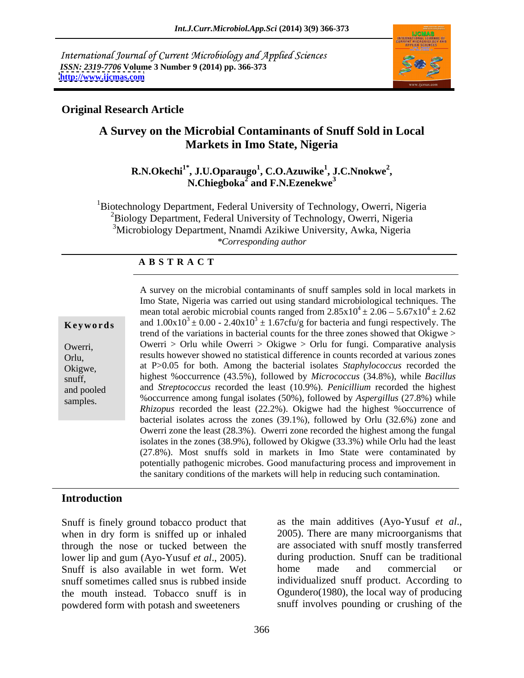International Journal of Current Microbiology and Applied Sciences *ISSN: 2319-7706* **Volume 3 Number 9 (2014) pp. 366-373 <http://www.ijcmas.com>**



## **Original Research Article**

# **A Survey on the Microbial Contaminants of Snuff Sold in Local Markets in Imo State, Nigeria**

### $R.N.Okechi<sup>1*</sup>, J.U.Oparauge<sup>1</sup>, C.O.Azuwike<sup>1</sup>, J.C.Nnokwe<sup>2</sup>,$ **, J.C.Nnokwe<sup>2</sup>** <sup>\*</sup>, J.U.Oparaugo<sup>1</sup>, C.O.Azuwike<sup>1</sup>, J.C.Nnokwe<sup>2</sup>,<br>N.Chiegboka<sup>2</sup> and F.N.Ezenekwe<sup>3</sup>  **and F.N.Ezenekwe<sup>3</sup>**

<sup>1</sup>Biotechnology Department, Federal University of Technology, Owerri, Nigeria <sup>2</sup>Biology Department, Federal University of Technology, Owerri, Nigeria <sup>3</sup>Microbiology Department, Nnamdi Azikiwe University, Awka, Nigeria *\*Corresponding author* 

### **A B S T R A C T**

**Keywords** and  $1.00x10^3 \pm 0.00 - 2.40x10^3 \pm 1.67c$  fu/g for bacteria and fungi respectively. The Owerri, Owerri > Orlu while Owerri > Okigwe > Orlu for fungi. Comparative analysis Orlu, results however showed no statistical difference in counts recorded at various zones Okigwe, at P>0.05 for both. Among the bacterial isolates *Staphylococcus* recorded the snuff, highest %occurrence (43.5%), followed by *Micrococcus* (34.8%), while *Bacillus* and pooled and *Streptococcus* recorded the least (10.9%). *Penicillium* recorded the highest samples. %occurrence among fungal isolates (50%), followed by *Aspergillus* (27.8%) while A survey on the microbial contaminants of snuff samples sold in local markets in Imo State, Nigeria was carried out using standard microbiological techniques. The mean total aerobic microbial counts ranged from  $2.85 \times 10^4 \pm 2.06 - 5.67 \times 10^4 \pm 2.62$  $^{4}$  ± 2.06 – 5.67x10<sup>4</sup> ± 2.62  $4 \pm 2.62$ trend of the variations in bacterial counts for the three zones showed that Okigwe > *Rhizopus* recorded the least (22.2%). Okigwe had the highest %occurrence of bacterial isolates across the zones (39.1%), followed by Orlu (32.6%) zone and Owerri zone the least (28.3%). Owerri zone recorded the highest among the fungal isolates in the zones (38.9%), followed by Okigwe (33.3%) while Orlu had the least (27.8%). Most snuffs sold in markets in Imo State were contaminated by potentially pathogenic microbes. Good manufacturing process and improvement in the sanitary conditions of the markets will help in reducing such contamination.

## **Introduction**

Snuff is finely ground tobacco product that as the main additives (Ayo-Yusuf *et al.*, when in dry form is sniffed up or inhaled  $2005$ ). There are many microorganisms that when in dry form is sniffed up or inhaled through the nose or tucked between the Snuff is also available in wet form. Wet the mouth instead. Tobacco snuff is in powdered form with potash and sweeteners

lower lip and gum (Ayo-Yusuf *et al*., 2005). during production. Snuff can be traditional snuff sometimes called snus is rubbed inside individualized snuff product. According to as the main additives (Ayo-Yusuf *et al.*, 2005). There are many microorganisms that are associated with snuff mostly transferred home made and commercial or Ogundero(1980), the local way of producing snuff involves pounding or crushing of the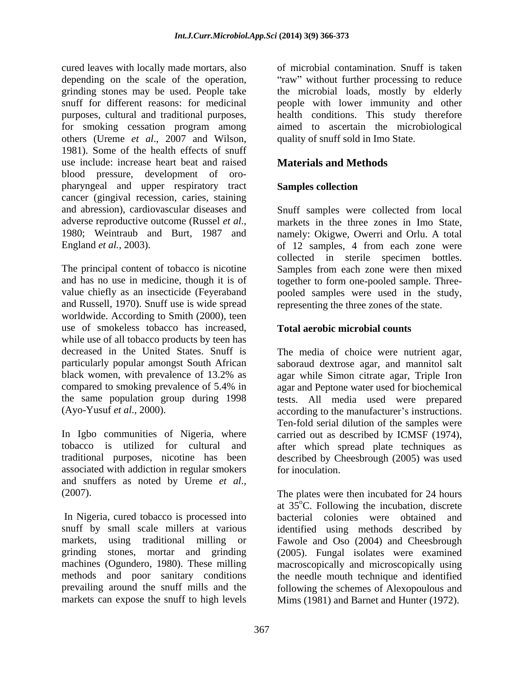cured leaves with locally made mortars, also depending on the scale of the operation, "raw" without further processing to reduce grinding stones may be used. People take the microbial loads, mostly by elderly snuff for different reasons: for medicinal people with lower immunity and other purposes, cultural and traditional purposes, health conditions. This study therefore for smoking cessation program among aimed to ascertain the microbiological others (Ureme *et al*., 2007 and Wilson, 1981). Some of the health effects of snuff use include: increase heart beat and raised **Materials and Methods** blood pressure, development of oro pharyngeal and upper respiratory tract **Samples collection** cancer (gingival recession, caries, staining and abression), cardiovascular diseases and adverse reproductive outcome (Russel *et al.*, markets in the three zones in Imo State, 1980; Weintraub and Burt, 1987 and namely: Okigwe, Owerri and Orlu. A total

The principal content of tobacco is nicotine Samples from each zone were then mixed and has no use in medicine, though it is of together to form one-pooled sample. Three value chiefly as an insecticide (Feyeraband pooled samples were used in the study, and Russell, 1970). Snuff use is wide spread worldwide. According to Smith (2000), teen use of smokeless tobacco has increased, while use of all tobacco products by teen has decreased in the United States. Snuff is The media of choice were nutrient agar, particularly popular amongst South African saboraud dextrose agar, and mannitol salt black women, with prevalence of 13.2% as agar while Simon citrate agar, Triple Iron compared to smoking prevalence of 5.4% in agar and Peptone water used for biochemical the same population group during 1998 tests. All media used were prepared

In Igbo communities of Nigeria, where carried out as described by ICMSF (1974), tobacco is utilized for cultural and after which spread plate techniques as traditional purposes, nicotine has been described by Cheesbrough (2005) was used associated with addiction in regular smokers and snuffers as noted by Ureme *et al.*,<br>(2007). The plates were then incubated for 24 hours

In Nigeria, cured tobacco is processed into bacterial colonies were obtained and

of microbial contamination. Snuff is taken quality of snuff sold in Imo State.

# **Materials and Methods**

# **Samples collection**

England *et al.*, 2003). The of 12 samples, 4 from each zone were Snuff samples were collected from local markets in the three zones in Imo State, namely: Okigwe, Owerri and Orlu. A total collected in sterile specimen bottles. representing the three zones of the state.

# **Total aerobic microbial counts**

(Ayo-Yusuf *et al.*, 2000). **according to the manufacturer's instructions.** Ten-fold serial dilution of the samples were for inoculation.

snuff by small scale millers at various identified using methods described by markets, using traditional milling or Fawole and Oso (2004) and Cheesbrough grinding stones, mortar and grinding (2005). Fungal isolates were examined machines (Ogundero, 1980). These milling macroscopically and microscopically using methods and poor sanitary conditions the needle mouth technique and identified prevailing around the snuff mills and the following the schemes of Alexopoulous and markets can expose the snuff to high levels Mims (1981) and Barnet and Hunter (1972). The plates were then incubated for 24 hours at  $35^{\circ}$ C. Following the incubation, discrete bacterial colonies were obtained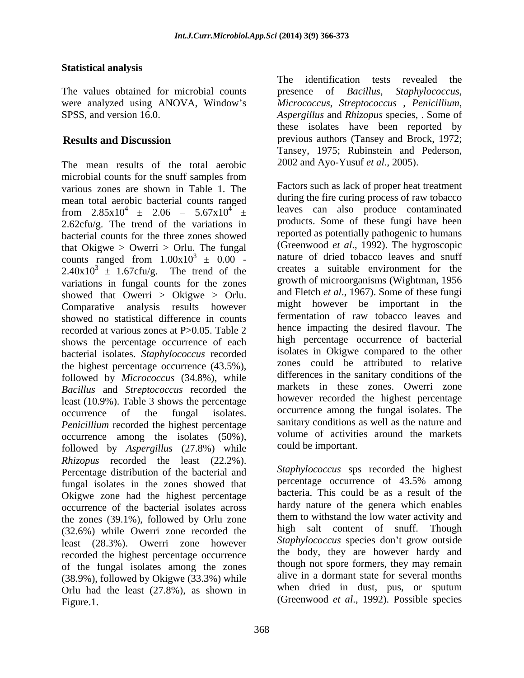### **Statistical analysis**

The values obtained for microbial counts between the *Bacillus*, *Staphylococcus*, were analyzed using ANOVA, Window s *Micrococcus*, *Streptococcus* , *Penicillium*, SPSS, and version 16.0. *Aspergillus* and *Rhizopus* species, . Some of

The mean results of the total aerobic microbial counts for the snuff samples from various zones are shown in Table 1. The mean total aerobic bacterial counts ranged from  $2.85 \times 10^4 \pm 2.06 - 5.67 \times 10^4 \pm 1$ 2.62cfu/g. The trend of the variations in bacterial counts for the three zones showed that Okigwe  $>$  Owerri  $>$  Orlu. The fungal counts ranged from  $1.00x10^3 \pm 0.00$  - $2.40x10^{3} \pm 1.67c$ fu/g. The trend of the variations in fungal counts for the zones showed that Owerri > Okigwe > Orlu. Comparative analysis results however showed no statistical difference in counts recorded at various zones at P>0.05. Table 2 shows the percentage occurrence of each bacterial isolates. *Staphylococcus* recorded the highest percentage occurrence (43.5%), followed by *Micrococcus* (34.8%), while *Bacillus* and *Streptococcus* recorded the least (10.9%). Table 3 shows the percentage *Penicillium* recorded the highest percentage occurrence among the isolates (50%), followed by *Aspergillus* (27.8%) while *Rhizopus* recorded the least (22.2%). Percentage distribution of the bacterial and<br>the staphylococcus sps recorded the highest<br>percentage occurrence of 43.5% among fungal isolates in the zones showed that Okigwe zone had the highest percentage occurrence of the bacterial isolates across the zones (39.1%), followed by Orlu zone (32.6%) while Owerri zone recorded the least (28.3%). Owerri zone however recorded the highest percentage occurrence of the fungal isolates among the zones (38.9%), followed by Okigwe (33.3%) while Orlu had the least (27.8%), as shown in The values obtained for microbial counts<br>
The values of the identification tests revealed the<br>
section,  $M_{\text{X}}$ . Supplying and Nicolaus ANOVA. Window's alternation, Street, some of<br>
section and Nicolaus ANOVA. Window's

**Results and Discussion** previous authors (Tansey and Brock, 1972; presence of *Bacillus*, these isolates have been reported by Tansey, 1975; Rubinstein and Pederson, 2002 and Ayo-Yusuf *et al*., 2005).

 $4 \pm 2.06 - 5.67 \times 10^{4} \pm$  leaves can also produce contaminated  $3 \pm 0.00$  - nature of dried tobacco leaves and snuff occurrence of the fungal isolates. occurrence among the fungal isolates. The Factors such as lack of proper heat treatment during the fire curing process of raw tobacco products. Some of these fungi have been reported as potentially pathogenic to humans (Greenwood *et al*., 1992). The hygroscopic creates a suitable environment for the growth of microorganisms (Wightman, 1956 and Fletch *et al*., 1967). Some of these fungi might however be important in the fermentation of raw tobacco leaves and hence impacting the desired flavour. The high percentage occurrence of bacterial isolates in Okigwe compared to the other zones could be attributed to relative differences in the sanitary conditions of the markets in these zones. Owerri zone however recorded the highest percentage sanitary conditions as well as the nature and volume of activities around the markets could be important.

> *Staphylococcus* sps recorded the highest percentage occurrence of 43.5% among bacteria. This could be as a result of the hardy nature of the genera which enables them to withstand the low water activity and high salt content of snuff. Though Staphylococcus species don't grow outside the body, they are however hardy and though not spore formers, they may remain alive in a dormant state for several months when dried in dust, pus, or sputum (Greenwood *et al*., 1992).Possible species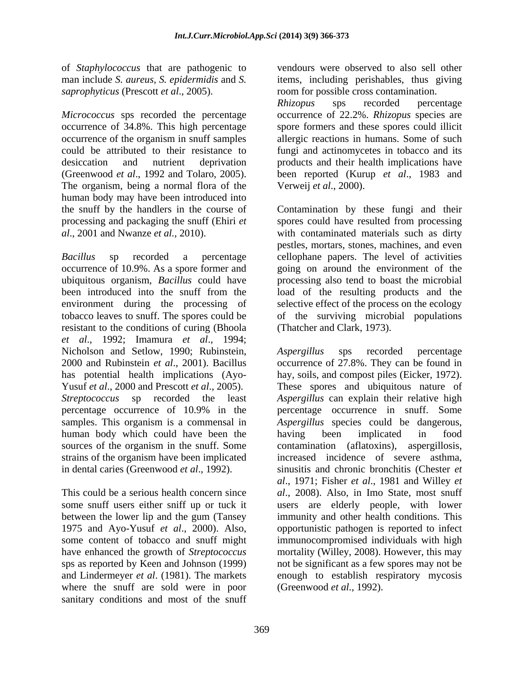of *Staphylococcus* that are pathogenic to *saprophyticus* (Prescott *et al*., 2005). room for possible cross contamination.

*Micrococcus* sps recorded the percentage occurrence of 34.8%. This high percentage spore formers and these spores could illicit occurrence of the organism in snuff samples allergic reactions in humans. Some of such could be attributed to their resistance to fungi and actinomycetes in tobacco and its desiccation and nutrient deprivation products and their health implications have (Greenwood *et al*., 1992 and Tolaro, 2005). been reported (Kurup *et al*., 1983 and The organism, being a normal flora of the human body may have been introduced into the snuff by the handlers in the course of Contamination by these fungi and their processing and packaging the snuff (Ehiri *et*  spores could have resulted from processing

*Bacillus* sp recorded a percentage cellophane papers. The level of activities occurrence of 10.9%. As a spore former and going on around the environment of the ubiquitous organism, *Bacillus* could have processing also tend to boast themicrobial been introduced into the snuff from the load of the resulting products and the environment during the processing of selective effect of the process on the ecology tobacco leaves to snuff. The spores could be of the surviving microbial populations resistant to the conditions of curing (Bhoola *et al*., 1992; Imamura *et al*., 1994; Nicholson and Setlow, 1990; Rubinstein, Aspergillus sps recorded percentage human body which could have been the having been implicated in food strains of the organism have been implicated

where the snuff are sold were in poor sanitary conditions and most of the snuff

man include *S. aureus, S. epidermidis* and *S.* items, including perishables, thus giving vendours were observed to also sell other

> *Rhizopus* sps recorded percentage occurrence of 22.2%. *Rhizopus* species are Verweij *et al*., 2000).

*al*., 2001 and Nwanze *et al.,* 2010). with contaminated materials such as dirty pestles, mortars, stones, machines, and even (Thatcher and Clark, 1973).

2000 and Rubinstein *et al*., 2001). Bacillus occurrence of 27.8%. They can be found in has potential health implications (Ayo- hay, soils, and compost piles (Eicker, 1972). Yusuf *et al*., 2000 and Prescott *et al*., 2005). These spores and ubiquitous nature of *Streptococcus* sp recorded the least *Aspergillus* can explain their relative high percentage occurrence of 10.9% in the percentage occurrence in snuff. Some samples. This organism is a commensal in *Aspergillus* species could be dangerous, sources of the organism in the snuff. Some contamination (aflatoxins), aspergillosis, in dental caries (Greenwood *et al*., 1992). sinusitis and chronic bronchitis (Chester *et*  This could be a serious health concern since *al*., 2008).Also, in Imo State, most snuff some snuff users either sniff up or tuck it users are elderly people, with lower between the lower lip and the gum (Tansey immunity and other health conditions. This 1975 and Ayo-Yusuf *et al*., 2000). Also, opportunistic pathogen is reported to infect some content of tobacco and snuff might immunocompromised individuals with high have enhanced the growth of *Streptococcus* mortality (Willey, 2008). However, this may sps as reported by Keen and Johnson (1999) not be significant as a few spores may not be and Lindermeyer *et al*. (1981). The markets enough to establish respiratory mycosis *Aspergillus* sps recorded percentage percentage occurrence in snuff. Some having been implicated in food increased incidence of severe asthma, *al*., 1971; Fisher *et al*., 1981 and Willey *et*  (Greenwood *et al.,* 1992).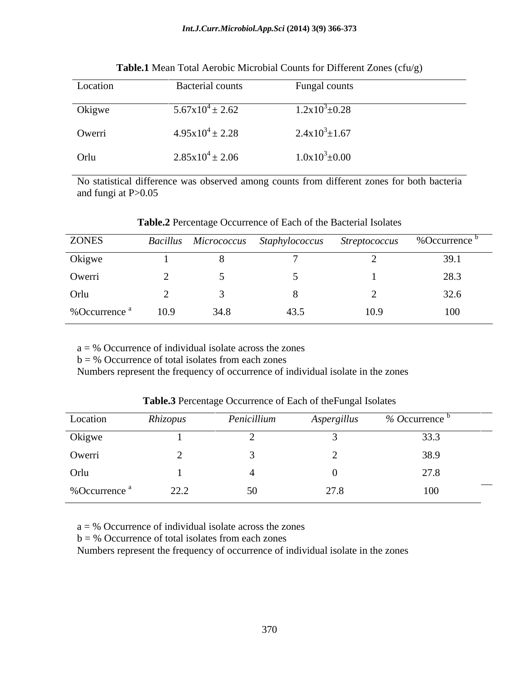| Location | Bacterial counts            | Fungal counts              |
|----------|-----------------------------|----------------------------|
| Okigwe   | $5.67 \times 10^4 \pm 2.62$ | $1.2 \times 10^3 \pm 0.28$ |
| Owerri   | $4.95x10^{4} \pm 2.28$      | $2.4x10^{3} \pm 1.67$      |
| Orlu     | $2.85 \times 10^4 \pm 2.06$ | $1.0x10^3 \pm 0.00$        |

**Table.1** Mean Total Aerobic Microbial Counts for Different Zones (cfu/g)

No statistical difference was observed among counts from different zones for both bacteria and fungi at P>0.05

| <b>ZONES</b>             |      |      | Bacillus Micrococcus Staphylococcus Streptococcus %Occurrence <sup>b</sup> |      |      |
|--------------------------|------|------|----------------------------------------------------------------------------|------|------|
| Okigwe                   |      |      |                                                                            |      | 39.1 |
| Owerri                   |      |      |                                                                            |      | 28.3 |
| Orlu                     |      |      |                                                                            |      | 32.6 |
| %Occurrence <sup>a</sup> | 10.9 | 34.8 | 43.5                                                                       | 10.9 | 100  |

**Table.2** Percentage Occurrence of Each of the Bacterial Isolates

 $a = %$  Occurrence of individual isolate across the zones

 $b = %$  Occurrence of total isolates from each zones

Numbers represent the frequency of occurrence of individual isolate in the zones

| Location                 | Rhizopus | Penicillium | Aspergillus | % Occurrence $\overline{b}$ |
|--------------------------|----------|-------------|-------------|-----------------------------|
| Okigwe                   |          |             |             | 33.3                        |
| Owerri                   |          |             |             | 38.9                        |
| Orlu                     |          |             |             | 27.8                        |
| %Occurrence <sup>a</sup> | 22.2     | 50          | 27.8        | 100                         |

**Table.3** Percentage Occurrence of Each of theFungal Isolates

 $a = %$  Occurrence of individual isolate across the zones

 $b = %$  Occurrence of total isolates from each zones

Numbers represent the frequency of occurrence of individual isolate in the zones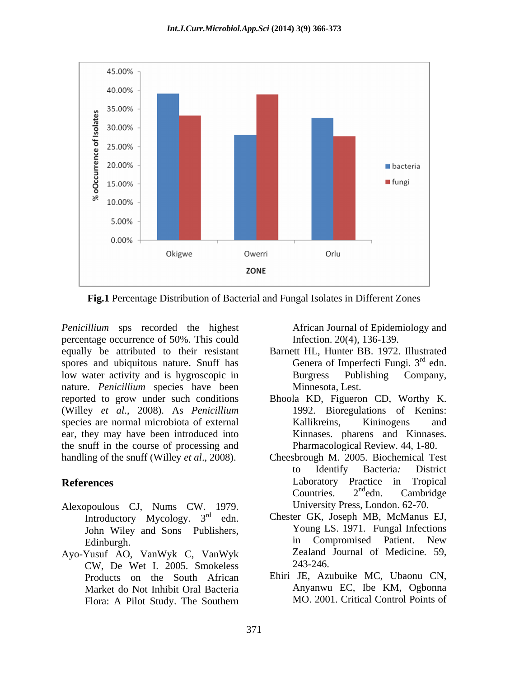

**Fig.1** Percentage Distribution of Bacterial and Fungal Isolates in Different Zones

*Penicillium* sps recorded the highest percentage occurrence of 50%. This could equally be attributed to their resistant spores and ubiquitous nature. Snuff has low water activity and is hygroscopic in nature. *Penicillium* species have been reported to grow under such conditions (Willey *et al*., 2008). As *Penicillium* species are normal microbiota of external **Example Example Kallikreins**, **Kiningens** and ear, they may have been introduced into the snuff in the course of processing and

- Alexopoulous CJ, Nums CW. 1979. Introductory Mycology.  $3<sup>rd</sup>$  edn. John Wiley and Sons Publishers,
- Ayo-Yusuf AO, VanWyk C, VanWyk Zealand<br>CW De Wet I 2005 Smokeless 243-246. CW, De Wet I. 2005. Smokeless Products on the South African Market do Not Inhibit Oral Bacteria Flora: A Pilot Study. The Southern

African Journal of Epidemiology and Infection. 20(4), 136-139.

- Barnett HL, Hunter BB. 1972. Illustrated Genera of Imperfecti Fungi.  $3<sup>rd</sup>$  edn.  $rd_{\text{cdn}}$ edn. Burgress Publishing Company, Minnesota, Lest.
- Bhoola KD, Figueron CD, Worthy K. 1992. Bioregulations of Kenins: Kallikreins, Kininogens and Kinnases. pharens and Kinnases. Pharmacological Review. 44, 1-80.
- handling of the snuff (Willey *et al*., 2008). Cheesbrough M. 2005. Biochemical Test **References** Laboratory Practice in Tropical to Identify Bacteria*:* District Countries.  $2^{nd}$ edn. Cambridge  $n d<sub>odn</sub>$  Combridge edn. Cambridge University Press, London. 62-70.
	- rd edn. Chester GK, Joseph MB, McManus EJ, Edinburgh. **Edinburgh. Edinburgh. Edinburgh. Edinburgh. Edinburgh. Edinburgh. Edinburgh. Edinburgh. Edinburgh. Edinburgh. Edinburgh. Edinburgh. Edinburgh. Edinburgh. Edinburgh. Edinburgh. Ed** Young LS. 1971. Fungal Infections in Compromised Patient. New Zealand Journal of Medicine*.* 59, 243-246.
		- Ehiri JE, Azubuike MC, Ubaonu CN, Anyanwu EC, Ibe KM, Ogbonna MO. 2001. Critical Control Points of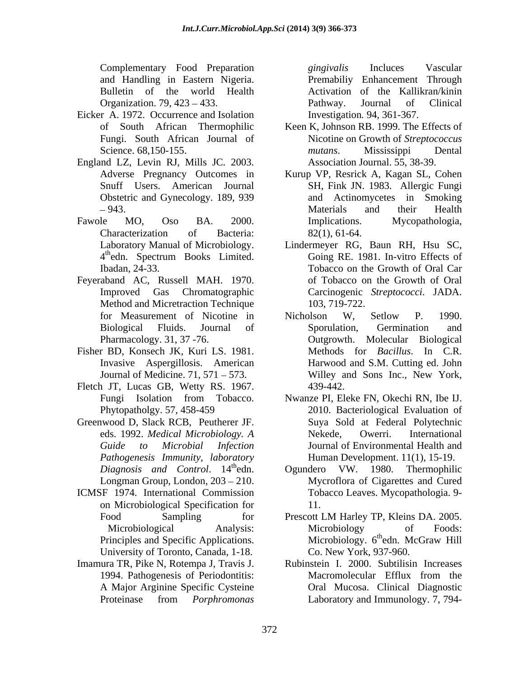Complementary Food Preparation *gingivalis* Incluces Vascular Organization. 79, 423 – 433. Pathway. Journal of Clinical

- Eicker A. 1972. Occurrence and Isolation
- England LZ, Levin RJ, Mills JC. 2003.
- 4th edn. Spectrum Books Limited.
- Feyeraband AC, Russell MAH. 1970. Method and Micretraction Technique 103, 719-722. Pharmacology. 31, 37 -76. Outgrowth.
- Fisher BD, Konsech JK, Kuri LS. 1981.
- Fletch JT, Lucas GB, Wetty RS. 1967.
- Greenwood D, Slack RCB, Peutherer JF. *Diagnosis and Control.* 14<sup>th</sup>edn. Ogundero VW.
- ICMSF 1974. International Commission on Microbiological Specification for University of Toronto, Canada, 1-18.
- Imamura TR, Pike N, Rotempa J, Travis J. A Major Arginine Specific Cysteine

and Handling in Eastern Nigeria. Premabiliy Enhancement Through Bulletin of the world Health Activation of the Kallikran/kinin *gingivalis* Incluces Vascular Pathway. Journal of Clinical Investigation*.* 94, 361-367.

- of South African Thermophilic Keen K, Johnson RB. 1999. The Effects of Fungi. South African Journal of Nicotine on Growth of *Streptococcus* Science. 68,150-155. *mutans*. Mississippi Dental *mutans*. Mississippi Dental Association Journal. 55, 38-39.
- Adverse Pregnancy Outcomes in Kurup VP, Resrick A, Kagan SL, Cohen Snuff Users. American Journal SH, Fink JN. 1983. Allergic Fungi Obstetric and Gynecology. 189, 939 and Actinomycetes in Smoking 943. Materials and their Health Fawole MO, Oso BA. 2000. Implications. Mycopathologia, Characterization of Bacteria: 82(1), 61-64. Materials and their Health Implications. Mycopathologia, 82(1), 61-64.
	- Laboratory Manual of Microbiology. Lindermeyer RG, Baun RH, Hsu SC, thedn. Spectrum Books Limited. Going RE. 1981. In-vitro Effects of edn. Spectrum Books Limited. Ibadan, 24-33. Tobacco on the Growth of Oral Car Improved Gas Chromatographic Carcinogenic *Streptococci*. JADA. of Tobacco on the Growth of Oral 103, 719-722.
	- for Measurement of Nicotine in Micholson W, Setlow P. 1990. Biological Fluids. Journal of Invasive Aspergillosis. American Harwood and S.M. Cutting ed. John Journal of Medicine. 71, 571 – 573. Willey and Sons Inc., New York, Nicholson W, Setlow P. 1990. Sporulation, Germination and Molecular Biological Methods for *Bacillus*. In C.R. 439-442.
	- Fungi Isolation from Tobacco. Nwanze PI, Eleke FN, Okechi RN, Ibe IJ. Phytopatholgy. 57, 458-459 2010. Bacteriological Evaluation of eds. 1992. *Medical Microbiology. A Guide to Microbial Infection* Journal of Environmental Health and *Pathogenesis Immunity, laboratory* Human Development. 11(1), 15-19. Suya Sold at Federal Polytechnic Nekede, Owerri. International
	- 1980. Thermophilic Longman Group, London, 203 – 210. Mycroflora of Cigarettes and Cured Ogundero VW. 1980. Thermophilic Tobacco Leaves. Mycopathologia. 9- 11.
	- Food Sampling for Prescott LM Harley TP, Kleins DA. 2005. Microbiological Analysis: Microbiology of Foods: Principles and Specific Applications. Microbiology. 6<sup>th</sup>edn. McGraw Hill Prescott LM Harley TP, Kleins DA. 2005. Microbiology of Foods:  $\frac{\text{th}}{\text{odn}}$  MoCrow  $\text{Li}$ <sup>11</sup> edn. McGraw Hill Co. New York, 937-960.
	- 1994. Pathogenesis of Periodontitis: Macromolecular Efflux from the Proteinase from *Porphromonas* Rubinstein I. 2000. Subtilisin Increases Macromolecular Efflux from the Oral Mucosa. Clinical Diagnostic Laboratory and Immunology. 7, 794-